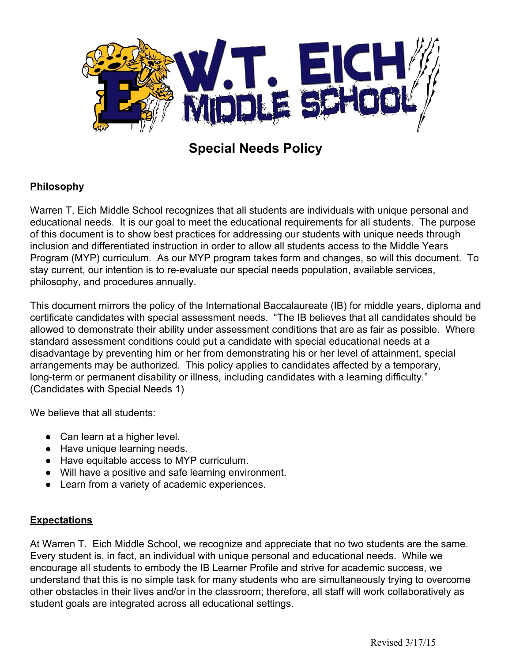

# **Special Needs Policy**

# **Philosophy**

Warren T. Eich Middle School recognizes that all students are individuals with unique personal and educational needs. It is our goal to meet the educational requirements for all students. The purpose of this document is to show best practices for addressing our students with unique needs through inclusion and differentiated instruction in order to allow all students access to the Middle Years Program (MYP) curriculum. As our MYP program takes form and changes, so will this document. To stay current, our intention is to re-evaluate our special needs population, available services, philosophy, and procedures annually.

This document mirrors the policy of the International Baccalaureate (IB) for middle years, diploma and certificate candidates with special assessment needs. "The IB believes that all candidates should be allowed to demonstrate their ability under assessment conditions that are as fair as possible. Where standard assessment conditions could put a candidate with special educational needs at a disadvantage by preventing him or her from demonstrating his or her level of attainment, special arrangements may be authorized. This policy applies to candidates affected by a temporary, long-term or permanent disability or illness, including candidates with a learning difficulty." (Candidates with Special Needs 1)

We believe that all students:

- Can learn at a higher level.
- Have unique learning needs.
- Have equitable access to MYP curriculum.
- Will have a positive and safe learning environment.
- Learn from a variety of academic experiences.

#### **Expectations**

At Warren T. Eich Middle School, we recognize and appreciate that no two students are the same. Every student is, in fact, an individual with unique personal and educational needs. While we encourage all students to embody the IB Learner Profile and strive for academic success, we understand that this is no simple task for many students who are simultaneously trying to overcome other obstacles in their lives and/or in the classroom; therefore, all staff will work collaboratively as student goals are integrated across all educational settings.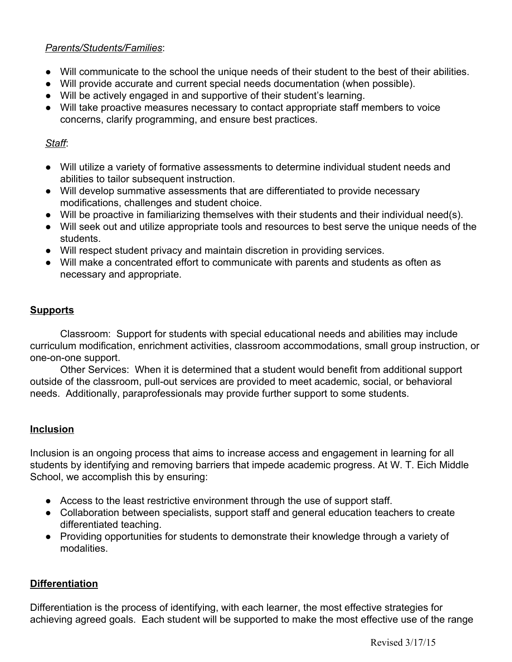#### *Parents/Students/Families*:

- Will communicate to the school the unique needs of their student to the best of their abilities.
- Will provide accurate and current special needs documentation (when possible).
- Will be actively engaged in and supportive of their student's learning.
- Will take proactive measures necessary to contact appropriate staff members to voice concerns, clarify programming, and ensure best practices.

### *Staff*:

- Will utilize a variety of formative assessments to determine individual student needs and abilities to tailor subsequent instruction.
- Will develop summative assessments that are differentiated to provide necessary modifications, challenges and student choice.
- Will be proactive in familiarizing themselves with their students and their individual need(s).
- Will seek out and utilize appropriate tools and resources to best serve the unique needs of the students.
- Will respect student privacy and maintain discretion in providing services.
- Will make a concentrated effort to communicate with parents and students as often as necessary and appropriate.

# **Supports**

Classroom: Support for students with special educational needs and abilities may include curriculum modification, enrichment activities, classroom accommodations, small group instruction, or one-on-one support.

Other Services: When it is determined that a student would benefit from additional support outside of the classroom, pull-out services are provided to meet academic, social, or behavioral needs. Additionally, paraprofessionals may provide further support to some students.

# **Inclusion**

Inclusion is an ongoing process that aims to increase access and engagement in learning for all students by identifying and removing barriers that impede academic progress. At W. T. Eich Middle School, we accomplish this by ensuring:

- Access to the least restrictive environment through the use of support staff.
- Collaboration between specialists, support staff and general education teachers to create differentiated teaching.
- Providing opportunities for students to demonstrate their knowledge through a variety of modalities.

# **Differentiation**

Differentiation is the process of identifying, with each learner, the most effective strategies for achieving agreed goals. Each student will be supported to make the most effective use of the range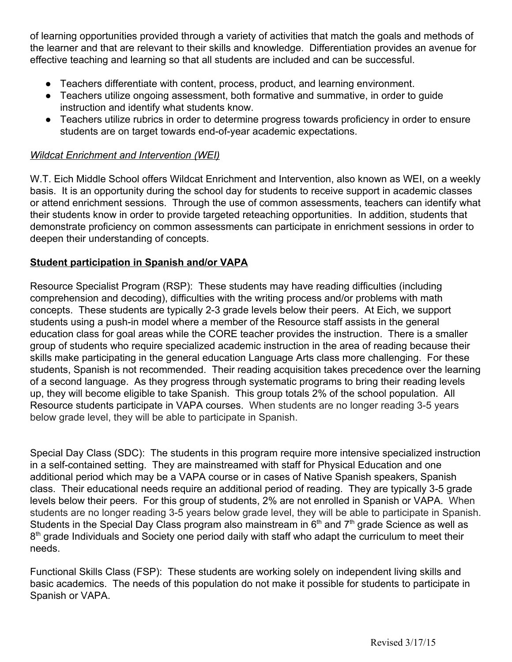of learning opportunities provided through a variety of activities that match the goals and methods of the learner and that are relevant to their skills and knowledge. Differentiation provides an avenue for effective teaching and learning so that all students are included and can be successful.

- Teachers differentiate with content, process, product, and learning environment.
- Teachers utilize ongoing assessment, both formative and summative, in order to guide instruction and identify what students know.
- Teachers utilize rubrics in order to determine progress towards proficiency in order to ensure students are on target towards end-of-year academic expectations.

#### *Wildcat Enrichment and Intervention (WEI)*

W.T. Eich Middle School offers Wildcat Enrichment and Intervention, also known as WEI, on a weekly basis. It is an opportunity during the school day for students to receive support in academic classes or attend enrichment sessions. Through the use of common assessments, teachers can identify what their students know in order to provide targeted reteaching opportunities. In addition, students that demonstrate proficiency on common assessments can participate in enrichment sessions in order to deepen their understanding of concepts.

#### **Student participation in Spanish and/or VAPA**

Resource Specialist Program (RSP): These students may have reading difficulties (including comprehension and decoding), difficulties with the writing process and/or problems with math concepts. These students are typically 2-3 grade levels below their peers. At Eich, we support students using a push-in model where a member of the Resource staff assists in the general education class for goal areas while the CORE teacher provides the instruction. There is a smaller group of students who require specialized academic instruction in the area of reading because their skills make participating in the general education Language Arts class more challenging. For these students, Spanish is not recommended. Their reading acquisition takes precedence over the learning of a second language. As they progress through systematic programs to bring their reading levels up, they will become eligible to take Spanish. This group totals 2% of the school population. All Resource students participate in VAPA courses. When students are no longer reading 3-5 years below grade level, they will be able to participate in Spanish.

Special Day Class (SDC): The students in this program require more intensive specialized instruction in a self-contained setting. They are mainstreamed with staff for Physical Education and one additional period which may be a VAPA course or in cases of Native Spanish speakers, Spanish class. Their educational needs require an additional period of reading. They are typically 3-5 grade levels below their peers. For this group of students, 2% are not enrolled in Spanish or VAPA. When students are no longer reading 3-5 years below grade level, they will be able to participate in Spanish. Students in the Special Day Class program also mainstream in  $6<sup>th</sup>$  and  $7<sup>th</sup>$  grade Science as well as 8<sup>th</sup> grade Individuals and Society one period daily with staff who adapt the curriculum to meet their needs.

Functional Skills Class (FSP): These students are working solely on independent living skills and basic academics. The needs of this population do not make it possible for students to participate in Spanish or VAPA.